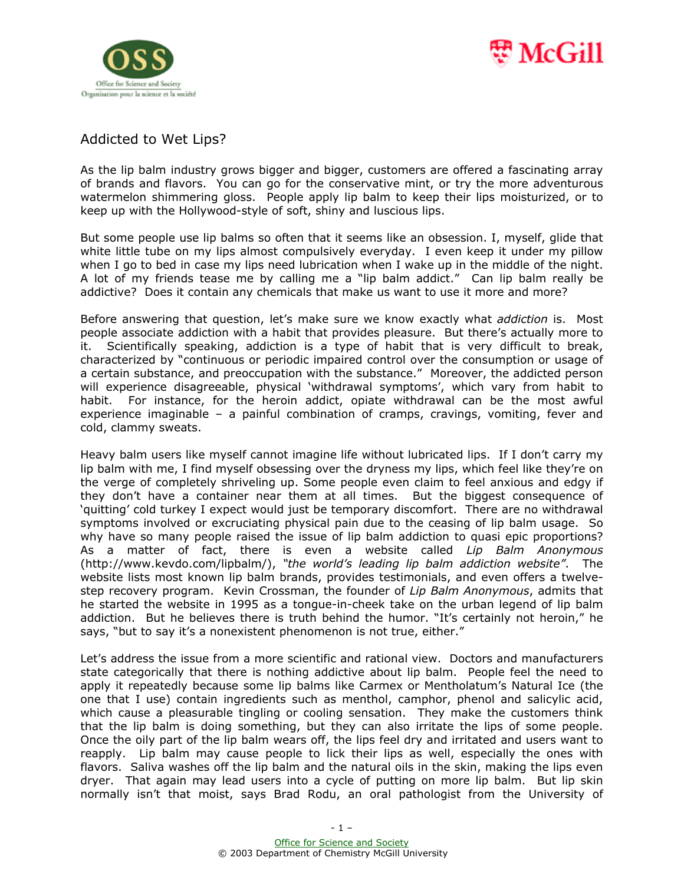



## Addicted to Wet Lips?

As the lip balm industry grows bigger and bigger, customers are offered a fascinating array of brands and flavors. You can go for the conservative mint, or try the more adventurous watermelon shimmering gloss. People apply lip balm to keep their lips moisturized, or to keep up with the Hollywood-style of soft, shiny and luscious lips.

But some people use lip balms so often that it seems like an obsession. I, myself, glide that white little tube on my lips almost compulsively everyday. I even keep it under my pillow when I go to bed in case my lips need lubrication when I wake up in the middle of the night. A lot of my friends tease me by calling me a "lip balm addict." Can lip balm really be addictive? Does it contain any chemicals that make us want to use it more and more?

Before answering that question, let's make sure we know exactly what *addiction* is. Most people associate addiction with a habit that provides pleasure. But there's actually more to it. Scientifically speaking, addiction is a type of habit that is very difficult to break, characterized by "continuous or periodic impaired control over the consumption or usage of a certain substance, and preoccupation with the substance." Moreover, the addicted person will experience disagreeable, physical 'withdrawal symptoms', which vary from habit to habit. For instance, for the heroin addict, opiate withdrawal can be the most awful experience imaginable – a painful combination of cramps, cravings, vomiting, fever and cold, clammy sweats.

Heavy balm users like myself cannot imagine life without lubricated lips. If I don't carry my lip balm with me, I find myself obsessing over the dryness my lips, which feel like they're on the verge of completely shriveling up. Some people even claim to feel anxious and edgy if they don't have a container near them at all times. But the biggest consequence of 'quitting' cold turkey I expect would just be temporary discomfort. There are no withdrawal symptoms involved or excruciating physical pain due to the ceasing of lip balm usage. So why have so many people raised the issue of lip balm addiction to quasi epic proportions? As a matter of fact, there is even a website called *Lip Balm Anonymous* (http://www.kevdo.com/lipbalm/), *"the world's leading lip balm addiction website"*. The website lists most known lip balm brands, provides testimonials, and even offers a twelvestep recovery program. Kevin Crossman, the founder of *Lip Balm Anonymous*, admits that he started the website in 1995 as a tongue-in-cheek take on the urban legend of lip balm addiction. But he believes there is truth behind the humor. "It's certainly not heroin," he says, "but to say it's a nonexistent phenomenon is not true, either."

Let's address the issue from a more scientific and rational view. Doctors and manufacturers state categorically that there is nothing addictive about lip balm. People feel the need to apply it repeatedly because some lip balms like Carmex or Mentholatum's Natural Ice (the one that I use) contain ingredients such as menthol, camphor, phenol and salicylic acid, which cause a pleasurable tingling or cooling sensation. They make the customers think that the lip balm is doing something, but they can also irritate the lips of some people. Once the oily part of the lip balm wears off, the lips feel dry and irritated and users want to reapply. Lip balm may cause people to lick their lips as well, especially the ones with flavors. Saliva washes off the lip balm and the natural oils in the skin, making the lips even dryer. That again may lead users into a cycle of putting on more lip balm. But lip skin normally isn't that moist, says Brad Rodu, an oral pathologist from the University of